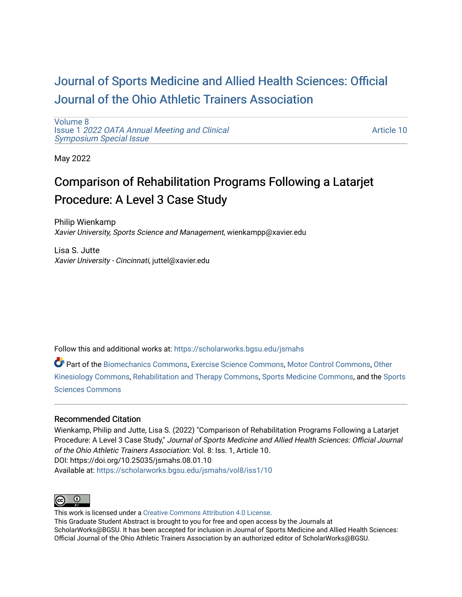## [Journal of Sports Medicine and Allied Health Sciences: Official](https://scholarworks.bgsu.edu/jsmahs)  [Journal of the Ohio Athletic Trainers Association](https://scholarworks.bgsu.edu/jsmahs)

[Volume 8](https://scholarworks.bgsu.edu/jsmahs/vol8) Issue 1 [2022 OATA Annual Meeting and Clinical](https://scholarworks.bgsu.edu/jsmahs/vol8/iss1) [Symposium Special Issue](https://scholarworks.bgsu.edu/jsmahs/vol8/iss1)

[Article 10](https://scholarworks.bgsu.edu/jsmahs/vol8/iss1/10) 

May 2022

# Comparison of Rehabilitation Programs Following a Latarjet Procedure: A Level 3 Case Study

Philip Wienkamp Xavier University, Sports Science and Management, wienkampp@xavier.edu

Lisa S. Jutte Xavier University - Cincinnati, juttel@xavier.edu

Follow this and additional works at: [https://scholarworks.bgsu.edu/jsmahs](https://scholarworks.bgsu.edu/jsmahs?utm_source=scholarworks.bgsu.edu%2Fjsmahs%2Fvol8%2Fiss1%2F10&utm_medium=PDF&utm_campaign=PDFCoverPages)

Part of the [Biomechanics Commons,](https://network.bepress.com/hgg/discipline/43?utm_source=scholarworks.bgsu.edu%2Fjsmahs%2Fvol8%2Fiss1%2F10&utm_medium=PDF&utm_campaign=PDFCoverPages) [Exercise Science Commons](https://network.bepress.com/hgg/discipline/1091?utm_source=scholarworks.bgsu.edu%2Fjsmahs%2Fvol8%2Fiss1%2F10&utm_medium=PDF&utm_campaign=PDFCoverPages), [Motor Control Commons](https://network.bepress.com/hgg/discipline/45?utm_source=scholarworks.bgsu.edu%2Fjsmahs%2Fvol8%2Fiss1%2F10&utm_medium=PDF&utm_campaign=PDFCoverPages), [Other](https://network.bepress.com/hgg/discipline/47?utm_source=scholarworks.bgsu.edu%2Fjsmahs%2Fvol8%2Fiss1%2F10&utm_medium=PDF&utm_campaign=PDFCoverPages)  [Kinesiology Commons,](https://network.bepress.com/hgg/discipline/47?utm_source=scholarworks.bgsu.edu%2Fjsmahs%2Fvol8%2Fiss1%2F10&utm_medium=PDF&utm_campaign=PDFCoverPages) [Rehabilitation and Therapy Commons](https://network.bepress.com/hgg/discipline/749?utm_source=scholarworks.bgsu.edu%2Fjsmahs%2Fvol8%2Fiss1%2F10&utm_medium=PDF&utm_campaign=PDFCoverPages), [Sports Medicine Commons](https://network.bepress.com/hgg/discipline/1331?utm_source=scholarworks.bgsu.edu%2Fjsmahs%2Fvol8%2Fiss1%2F10&utm_medium=PDF&utm_campaign=PDFCoverPages), and the [Sports](https://network.bepress.com/hgg/discipline/759?utm_source=scholarworks.bgsu.edu%2Fjsmahs%2Fvol8%2Fiss1%2F10&utm_medium=PDF&utm_campaign=PDFCoverPages)  [Sciences Commons](https://network.bepress.com/hgg/discipline/759?utm_source=scholarworks.bgsu.edu%2Fjsmahs%2Fvol8%2Fiss1%2F10&utm_medium=PDF&utm_campaign=PDFCoverPages) 

#### Recommended Citation

Wienkamp, Philip and Jutte, Lisa S. (2022) "Comparison of Rehabilitation Programs Following a Latarjet Procedure: A Level 3 Case Study," Journal of Sports Medicine and Allied Health Sciences: Official Journal of the Ohio Athletic Trainers Association: Vol. 8: Iss. 1, Article 10. DOI: https://doi.org/10.25035/jsmahs.08.01.10 Available at: [https://scholarworks.bgsu.edu/jsmahs/vol8/iss1/10](https://scholarworks.bgsu.edu/jsmahs/vol8/iss1/10?utm_source=scholarworks.bgsu.edu%2Fjsmahs%2Fvol8%2Fiss1%2F10&utm_medium=PDF&utm_campaign=PDFCoverPages) 



This work is licensed under a [Creative Commons Attribution 4.0 License](https://creativecommons.org/licenses/by/4.0/). This Graduate Student Abstract is brought to you for free and open access by the Journals at ScholarWorks@BGSU. It has been accepted for inclusion in Journal of Sports Medicine and Allied Health Sciences: Official Journal of the Ohio Athletic Trainers Association by an authorized editor of ScholarWorks@BGSU.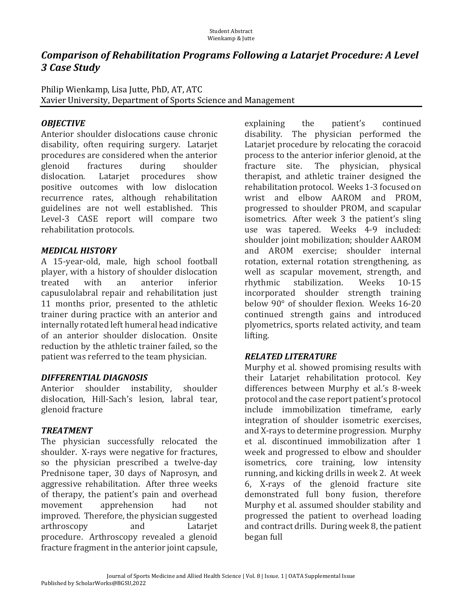### *Comparison of Rehabilitation Programs Following a Latarjet Procedure: A Level 3 Case Study*

Philip Wienkamp, Lisa Jutte, PhD, AT, ATC Xavier University, Department of Sports Science and Management

#### *OBJECTIVE*

Anterior shoulder dislocations cause chronic disability, often requiring surgery. Latarjet procedures are considered when the anterior glenoid fractures during shoulder dislocation. Latariet procedures show positive outcomes with low dislocation recurrence rates, although rehabilitation guidelines are not well established. This Level-3 CASE report will compare two rehabilitation protocols.

#### *MEDICAL.HISTORY*

A 15-year-old, male, high school football player, with a history of shoulder dislocation treated with an anterior inferior capusulolabral repair and rehabilitation just 11 months prior, presented to the athletic trainer during practice with an anterior and internally rotated left humeral head indicative of an anterior shoulder dislocation. Onsite reduction by the athletic trainer failed, so the patient was referred to the team physician.

#### *DIFFERENTIAL.DIAGNOSIS*

Anterior shoulder instability, shoulder dislocation, Hill-Sach's lesion, labral tear, glenoid fracture

### *TREATMENT*

The physician successfully relocated the shoulder. X-rays were negative for fractures, so the physician prescribed a twelve-day Prednisone taper, 30 days of Naprosyn, and aggressive rehabilitation. After three weeks of therapy, the patient's pain and overhead movement apprehension had not improved. Therefore, the physician suggested arthroscopy and Latarjet procedure. Arthroscopy revealed a glenoid fracture fragment in the anterior joint capsule,

explaining the patient's continued disability. The physician performed the Latarjet procedure by relocating the coracoid process to the anterior inferior glenoid, at the fracture site. The physician, physical therapist, and athletic trainer designed the rehabilitation protocol. Weeks 1-3 focused on wrist and elbow AAROM and PROM, progressed to shoulder PROM, and scapular isometrics. After week 3 the patient's sling use was tapered. Weeks 4-9 included: shoulder joint mobilization; shoulder AAROM and AROM exercise; shoulder internal rotation, external rotation strengthening, as well as scapular movement, strength, and rhythmic stabilization. Weeks 10-15 incorporated shoulder strength training below 90° of shoulder flexion. Weeks 16-20 continued strength gains and introduced plyometrics, sports related activity, and team lifting.

### *RELATED.LITERATURE*

Murphy et al. showed promising results with their Latarjet rehabilitation protocol. Key differences between Murphy et al.'s 8-week protocol and the case report patient's protocol include immobilization timeframe, early integration of shoulder isometric exercises, and X-rays to determine progression. Murphy et al. discontinued immobilization after 1 week and progressed to elbow and shoulder isometrics, core training, low intensity running, and kicking drills in week 2. At week 6, X-rays of the glenoid fracture site demonstrated full bony fusion, therefore Murphy et al. assumed shoulder stability and progressed the patient to overhead loading and contract drills. During week 8, the patient began full